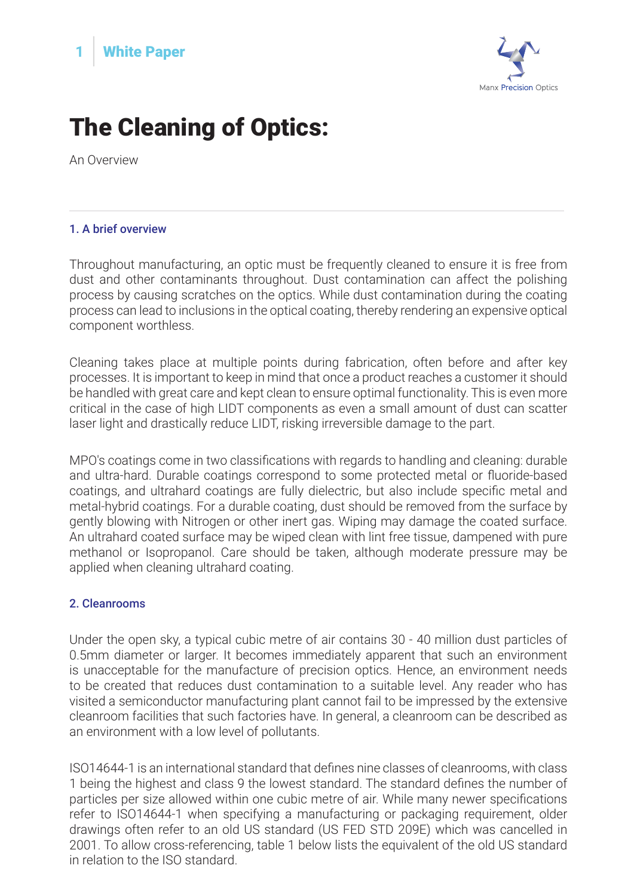



## The Cleaning of Optics:

An Overview

## 1. A brief overview

Throughout manufacturing, an optic must be frequently cleaned to ensure it is free from dust and other contaminants throughout. Dust contamination can affect the polishing process by causing scratches on the optics. While dust contamination during the coating process can lead to inclusions in the optical coating, thereby rendering an expensive optical component worthless.

Cleaning takes place at multiple points during fabrication, often before and after key processes. It is important to keep in mind that once a product reaches a customer it should be handled with great care and kept clean to ensure optimal functionality. This is even more critical in the case of high LIDT components as even a small amount of dust can scatter laser light and drastically reduce LIDT, risking irreversible damage to the part.

MPO's coatings come in two classifications with regards to handling and cleaning: durable and ultra-hard. Durable coatings correspond to some protected metal or fluoride-based coatings, and ultrahard coatings are fully dielectric, but also include specific metal and metal-hybrid coatings. For a durable coating, dust should be removed from the surface by gently blowing with Nitrogen or other inert gas. Wiping may damage the coated surface. An ultrahard coated surface may be wiped clean with lint free tissue, dampened with pure methanol or Isopropanol. Care should be taken, although moderate pressure may be applied when cleaning ultrahard coating.

## 2. Cleanrooms

Under the open sky, a typical cubic metre of air contains 30 - 40 million dust particles of 0.5mm diameter or larger. It becomes immediately apparent that such an environment is unacceptable for the manufacture of precision optics. Hence, an environment needs to be created that reduces dust contamination to a suitable level. Any reader who has visited a semiconductor manufacturing plant cannot fail to be impressed by the extensive cleanroom facilities that such factories have. In general, a cleanroom can be described as an environment with a low level of pollutants.

ISO14644-1 is an international standard that defines nine classes of cleanrooms, with class 1 being the highest and class 9 the lowest standard. The standard defines the number of particles per size allowed within one cubic metre of air. While many newer specifications refer to ISO14644-1 when specifying a manufacturing or packaging requirement, older drawings often refer to an old US standard (US FED STD 209E) which was cancelled in 2001. To allow cross-referencing, table 1 below lists the equivalent of the old US standard in relation to the ISO standard.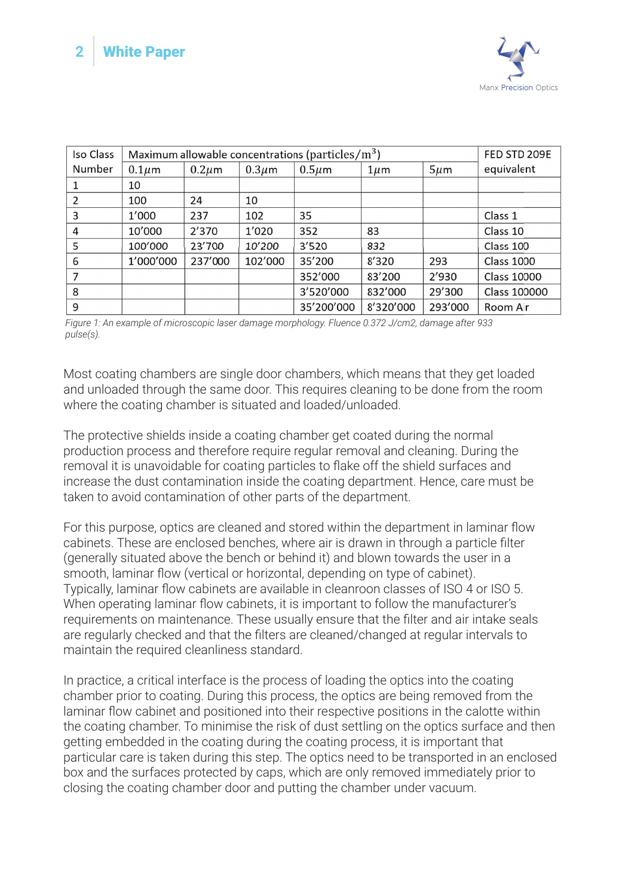

| Iso Class | Maximum allowable concentrations (particles/ $m3$ ) |             |             |             |           |           | FED STD 209E        |
|-----------|-----------------------------------------------------|-------------|-------------|-------------|-----------|-----------|---------------------|
| Number    | $0.1 \mu m$                                         | $0.2 \mu m$ | $0.3 \mu m$ | $0.5 \mu m$ | $1 \mu m$ | $5 \mu m$ | equivalent          |
|           | 10                                                  |             |             |             |           |           |                     |
| 2         | 100                                                 | 24          | 10          |             |           |           |                     |
| 3         | 1'000                                               | 237         | 102         | 35          |           |           | Class 1             |
| 4         | 10'000                                              | 2'370       | 1'020       | 352         | 83        |           | Class 10            |
| 5         | 100'000                                             | 23'700      | 10'200      | 3'520       | 832       |           | Class 100           |
| 6         | 1'000'000                                           | 237'000     | 102'000     | 35'200      | 8'320     | 293       | <b>Class 1000</b>   |
| 7         |                                                     |             |             | 352'000     | 83'200    | 2'930     | <b>Class 10000</b>  |
| 8         |                                                     |             |             | 3'520'000   | 832'000   | 29'300    | <b>Class 100000</b> |
| 9         |                                                     |             |             | 35'200'000  | 8'320'000 | 293'000   | Room Air            |

*Figure 1: An example of microscopic laser damage morphology. Fluence 0.372 J/cm2, damage after 933 pulse(s).*

Most coating chambers are single door chambers, which means that they get loaded and unloaded through the same door. This requires cleaning to be done from the room where the coating chamber is situated and loaded/unloaded.

The protective shields inside a coating chamber get coated during the normal production process and therefore require regular removal and cleaning. During the removal it is unavoidable for coating particles to flake off the shield surfaces and increase the dust contamination inside the coating department. Hence, care must be taken to avoid contamination of other parts of the department.

For this purpose, optics are cleaned and stored within the department in laminar flow cabinets. These are enclosed benches, where air is drawn in through a particle filter (generally situated above the bench or behind it) and blown towards the user in a smooth, laminar flow (vertical or horizontal, depending on type of cabinet). Typically, laminar flow cabinets are available in cleanroon classes of ISO 4 or ISO 5. When operating laminar flow cabinets, it is important to follow the manufacturer's requirements on maintenance. These usually ensure that the filter and air intake seals are regularly checked and that the filters are cleaned/changed at regular intervals to maintain the required cleanliness standard.

In practice, a critical interface is the process of loading the optics into the coating chamber prior to coating. During this process, the optics are being removed from the laminar flow cabinet and positioned into their respective positions in the calotte within the coating chamber. To minimise the risk of dust settling on the optics surface and then getting embedded in the coating during the coating process, it is important that particular care is taken during this step. The optics need to be transported in an enclosed box and the surfaces protected by caps, which are only removed immediately prior to closing the coating chamber door and putting the chamber under vacuum.